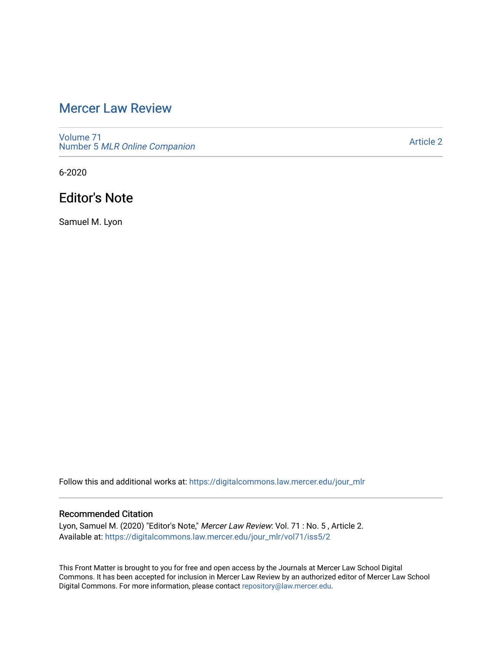# [Mercer Law Review](https://digitalcommons.law.mercer.edu/jour_mlr)

[Volume 71](https://digitalcommons.law.mercer.edu/jour_mlr/vol71) Number 5 [MLR Online Companion](https://digitalcommons.law.mercer.edu/jour_mlr/vol71/iss5) 

[Article 2](https://digitalcommons.law.mercer.edu/jour_mlr/vol71/iss5/2) 

6-2020

# Editor's Note

Samuel M. Lyon

Follow this and additional works at: [https://digitalcommons.law.mercer.edu/jour\\_mlr](https://digitalcommons.law.mercer.edu/jour_mlr?utm_source=digitalcommons.law.mercer.edu%2Fjour_mlr%2Fvol71%2Fiss5%2F2&utm_medium=PDF&utm_campaign=PDFCoverPages)

### Recommended Citation

Lyon, Samuel M. (2020) "Editor's Note," Mercer Law Review: Vol. 71 : No. 5 , Article 2. Available at: [https://digitalcommons.law.mercer.edu/jour\\_mlr/vol71/iss5/2](https://digitalcommons.law.mercer.edu/jour_mlr/vol71/iss5/2?utm_source=digitalcommons.law.mercer.edu%2Fjour_mlr%2Fvol71%2Fiss5%2F2&utm_medium=PDF&utm_campaign=PDFCoverPages)

This Front Matter is brought to you for free and open access by the Journals at Mercer Law School Digital Commons. It has been accepted for inclusion in Mercer Law Review by an authorized editor of Mercer Law School Digital Commons. For more information, please contact [repository@law.mercer.edu](mailto:repository@law.mercer.edu).